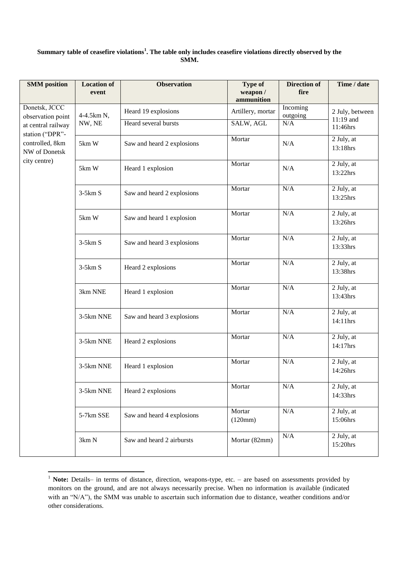## **Summary table of ceasefire violations<sup>1</sup> . The table only includes ceasefire violations directly observed by the SMM.**

| <b>SMM</b> position                                                                                                             | <b>Location of</b><br>event | <b>Observation</b>         | <b>Type of</b><br>weapon/<br>ammunition | <b>Direction of</b><br>fire | Time / date                                |
|---------------------------------------------------------------------------------------------------------------------------------|-----------------------------|----------------------------|-----------------------------------------|-----------------------------|--------------------------------------------|
| Donetsk, JCCC<br>observation point<br>at central railway<br>station ("DPR"-<br>controlled, 8km<br>NW of Donetsk<br>city centre) | 4-4.5km N,<br>NW, NE        | Heard 19 explosions        | Artillery, mortar                       | Incoming<br>outgoing        | 2 July, between<br>$11:19$ and<br>11:46hrs |
|                                                                                                                                 |                             | Heard several bursts       | SALW, AGL                               | N/A                         |                                            |
|                                                                                                                                 | 5km W                       | Saw and heard 2 explosions | Mortar                                  | N/A                         | 2 July, at<br>13:18hrs                     |
|                                                                                                                                 | 5km W                       | Heard 1 explosion          | Mortar                                  | N/A                         | 2 July, at<br>13:22hrs                     |
|                                                                                                                                 | $3-5km S$                   | Saw and heard 2 explosions | Mortar                                  | N/A                         | 2 July, at<br>13:25hrs                     |
|                                                                                                                                 | 5km W                       | Saw and heard 1 explosion  | Mortar                                  | N/A                         | 2 July, at<br>13:26hrs                     |
|                                                                                                                                 | $3-5km S$                   | Saw and heard 3 explosions | Mortar                                  | N/A                         | 2 July, at<br>13:33hrs                     |
|                                                                                                                                 | $3-5km S$                   | Heard 2 explosions         | Mortar                                  | N/A                         | 2 July, at<br>13:38hrs                     |
|                                                                                                                                 | 3km NNE                     | Heard 1 explosion          | Mortar                                  | N/A                         | 2 July, at<br>13:43hrs                     |
|                                                                                                                                 | 3-5km NNE                   | Saw and heard 3 explosions | Mortar                                  | N/A                         | 2 July, at<br>14:11hrs                     |
|                                                                                                                                 | 3-5km NNE                   | Heard 2 explosions         | Mortar                                  | N/A                         | 2 July, at<br>14:17hrs                     |
|                                                                                                                                 | 3-5km NNE                   | Heard 1 explosion          | Mortar                                  | N/A                         | 2 July, at<br>14:26hrs                     |
|                                                                                                                                 | 3-5km NNE                   | Heard 2 explosions         | Mortar                                  | N/A                         | 2 July, at<br>14:33hrs                     |
|                                                                                                                                 | 5-7km SSE                   | Saw and heard 4 explosions | Mortar<br>(120mm)                       | N/A                         | 2 July, at<br>15:06hrs                     |
|                                                                                                                                 | 3km N                       | Saw and heard 2 airbursts  | Mortar (82mm)                           | $\rm N/A$                   | 2 July, at<br>15:20hrs                     |

<sup>&</sup>lt;sup>1</sup> Note: Details– in terms of distance, direction, weapons-type, etc. – are based on assessments provided by monitors on the ground, and are not always necessarily precise. When no information is available (indicated with an "N/A"), the SMM was unable to ascertain such information due to distance, weather conditions and/or other considerations.

1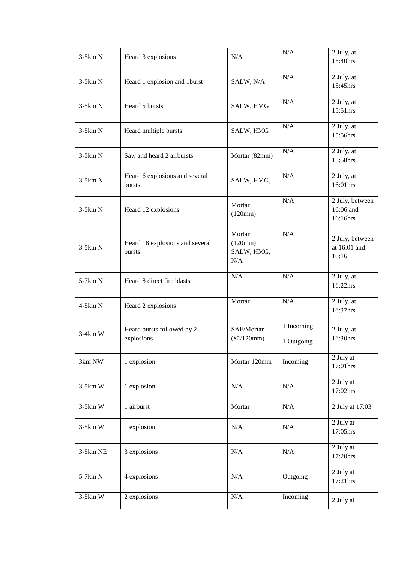|  | $3-5km N$  | Heard 3 explosions                        | N/A                                          | N/A                      | 2 July, at<br>15:40hrs                   |
|--|------------|-------------------------------------------|----------------------------------------------|--------------------------|------------------------------------------|
|  | $3-5km N$  | Heard 1 explosion and 1burst              | SALW, N/A                                    | N/A                      | 2 July, at<br>15:45hrs                   |
|  | $3-5km N$  | Heard 5 bursts                            | SALW, HMG                                    | N/A                      | 2 July, at<br>15:51hrs                   |
|  | $3-5km N$  | Heard multiple bursts                     | SALW, HMG                                    | $\rm N/A$                | 2 July, at<br>15:56hrs                   |
|  | $3-5km N$  | Saw and heard 2 airbursts                 | Mortar (82mm)                                | $\rm N/A$                | 2 July, at<br>15:58hrs                   |
|  | $3-5km N$  | Heard 6 explosions and several<br>bursts  | SALW, HMG,                                   | N/A                      | 2 July, at<br>16:01hrs                   |
|  | $3-5km N$  | Heard 12 explosions                       | Mortar<br>(120mm)                            | N/A                      | 2 July, between<br>16:06 and<br>16:16hrs |
|  | $3-5km N$  | Heard 18 explosions and several<br>bursts | Mortar<br>(120mm)<br>SALW, HMG,<br>$\rm N/A$ | N/A                      | 2 July, between<br>at 16:01 and<br>16:16 |
|  | 5-7km N    | Heard 8 direct fire blasts                | N/A                                          | N/A                      | 2 July, at<br>16:22hrs                   |
|  | 4-5km N    | Heard 2 explosions                        | Mortar                                       | $\rm N/A$                | 2 July, at<br>16:32hrs                   |
|  | $3-4km$ W  | Heard bursts followed by 2<br>explosions  | SAF/Mortar<br>(82/120mm)                     | 1 Incoming<br>1 Outgoing | 2 July, at<br>16:30hrs                   |
|  | 3km NW     | 1 explosion                               | Mortar 120mm                                 | Incoming                 | 2 July at<br>17:01hrs                    |
|  | $3-5km$ W  | 1 explosion                               | $\rm N/A$                                    | N/A                      | 2 July at<br>17:02hrs                    |
|  | $3-5km$ W  | 1 airburst                                | Mortar                                       | $\rm N/A$                | 2 July at 17:03                          |
|  | $3-5km$ W  | 1 explosion                               | $\rm N/A$                                    | $\rm N/A$                | 2 July at<br>17:05hrs                    |
|  | $3-5km$ NE | 3 explosions                              | $\rm N/A$                                    | N/A                      | 2 July at<br>17:20hrs                    |
|  | 5-7km N    | 4 explosions                              | N/A                                          | Outgoing                 | 2 July at<br>17:21hrs                    |
|  | $3-5km$ W  | 2 explosions                              | $\rm N/A$                                    | Incoming                 | 2 July at                                |